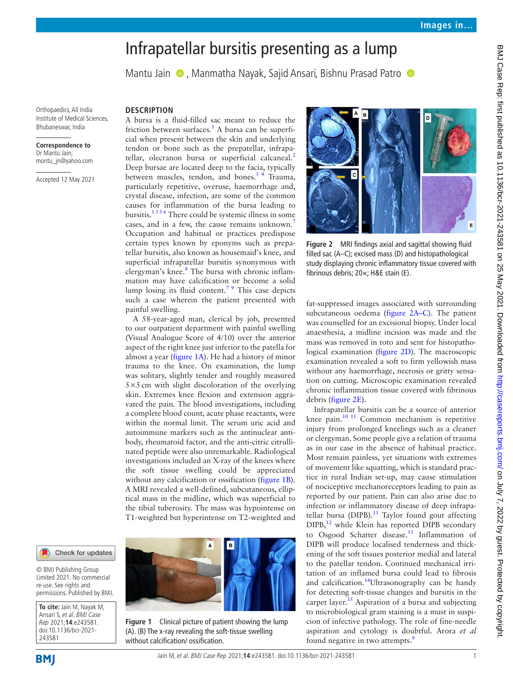# Infrapatellar bursitis presenting as a lump

MantuJain  $\bullet$ , Manmatha Nayak, Sajid Ansari, Bishnu Prasad Patro  $\bullet$ 

Orthopaedics, All India Institute of Medical Sciences, Bhubaneswar, India

#### **Correspondence to** Dr Mantu Jain; montu\_jn@yahoo.com

Accepted 12 May 2021

## **DESCRIPTION**

A bursa is a fluid-filled sac meant to reduce the friction between surfaces.<sup>[1](#page-1-0)</sup> A bursa can be superficial when present between the skin and underlying tendon or bone such as the prepatellar, infrapa-tellar, olecranon bursa or superficial calcaneal.<sup>[2](#page-1-1)</sup> Deep bursae are located deep to the facia, typically between muscles, tendon, and bones.<sup>34</sup> Trauma, particularly repetitive, overuse, haemorrhage and, crystal disease, infection, are some of the common causes for inflammation of the bursa leading to bursitis.[1 3 5 6](#page-1-0) There could be systemic illness in some cases, and in a few, the cause remains unknown. Occupation and habitual or practices predispose certain types known by eponyms such as prepatellar bursitis, also known as housemaid's knee, and superficial infrapatellar bursitis synonymous with clergyman's knee.<sup>[8](#page-1-4)</sup> The bursa with chronic inflammation may have calcification or become a solid lump losing its fluid content.<sup>79</sup> This case depicts such a case wherein the patient presented with painful swelling.

A 58-year-aged man, clerical by job, presented to our outpatient department with painful swelling (Visual Analogue Score of 4/10) over the anterior aspect of the right knee just inferior to the patella for almost a year ([figure](#page-0-0) 1A). He had a history of minor trauma to the knee. On examination, the lump was solitary, slightly tender and roughly measured  $5\times5$  cm with slight discoloration of the overlying skin. Extremes knee flexion and extension aggravated the pain. The blood investigations, including a complete blood count, acute phase reactants, were within the normal limit. The serum uric acid and autoimmune markers such as the antinuclear antibody, rheumatoid factor, and the anti-citric citrullinated peptide were also unremarkable. Radiological investigations included an X-ray of the knees where the soft tissue swelling could be appreciated without any calcification or ossification [\(figure](#page-0-0) 1B). A MRI revealed a well-defined, subcutaneous, elliptical mass in the midline, which was superficial to the tibial tuberosity. The mass was hypointense on T1-weighted but hyperintense on T2-weighted and

Check for updates

© BMJ Publishing Group Limited 2021. No commercial re-use. See rights and permissions. Published by BMJ.

**To cite:** Jain M, Nayak M, Ansari S, et al. BMJ Case Rep 2021;**14**:e243581. doi:10.1136/bcr-2021- 243581

<span id="page-0-0"></span>

**Figure 1** Clinical picture of patient showing the lump (A). (B) The x-ray revealing the soft-tissue swelling without calcification/ ossification.



**Figure 2** MRI findings axial and sagittal showing fluid filled sac (A–C); excised mass (D) and histopathological study displaying chronic inflammatory tissue covered with fibrinous debris; 20×; H&E stain (E).

<span id="page-0-1"></span>fat-suppressed images associated with surrounding subcutaneous oedema ([figure](#page-0-1) 2A–C). The patient was counselled for an excisional biopsy. Under local anaesthesia, a midline incision was made and the mass was removed in toto and sent for histopathological examination [\(figure](#page-0-1) 2D). The macroscopic examination revealed a soft to firm yellowish mass without any haemorrhage, necrosis or gritty sensation on cutting. Microscopic examination revealed chronic inflammation tissue covered with fibrinous debris [\(figure](#page-0-1) 2E).

Infrapatellar bursitis can be a source of anterior knee pain.<sup>10 11</sup> Common mechanism is repetitive injury from prolonged kneelings such as a cleaner or clergyman. Some people give a relation of trauma as in our case in the absence of habitual practice. Most remain painless, yet situations with extremes of movement like squatting, which is standard practice in rural Indian set-up, may cause stimulation of nociceptive mechanoreceptors leading to pain as reported by our patient. Pain can also arise due to infection or inflammatory disease of deep infrapatellar bursa (DIPB). $^{11}$  Taylor found gout affecting DIPB,<sup>[12](#page-1-7)</sup> while Klein has reported DIPB secondary to Osgood Schatter disease.<sup>[13](#page-1-8)</sup> Inflammation of DIPB will produce localised tenderness and thickening of the soft tissues posterior medial and lateral to the patellar tendon. Continued mechanical irritation of an inflamed bursa could lead to fibrosis and calcification.<sup>14</sup>Ultrasonography can be handy for detecting soft-tissue changes and bursitis in the carpet layer.<sup>15</sup> Aspiration of a bursa and subjecting to microbiological gram staining is a must in suspicion of infective pathology. The role of fine-needle aspiration and cytology is doubtful. Arora *et al* found negative in two attempts.<sup>[9](#page-1-11)</sup>